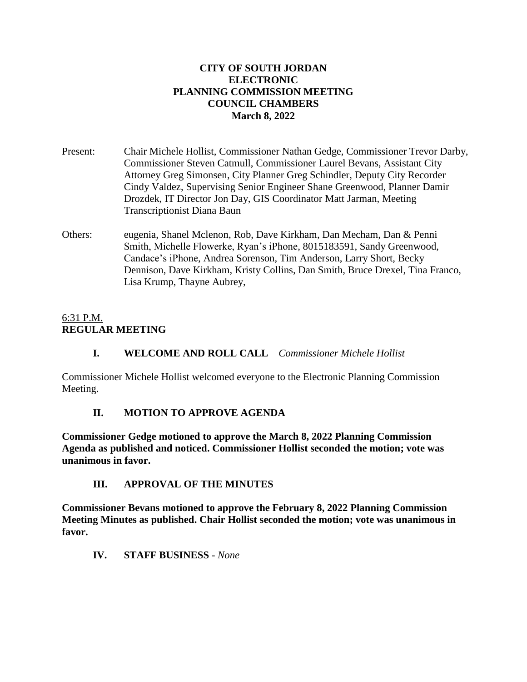#### **CITY OF SOUTH JORDAN ELECTRONIC PLANNING COMMISSION MEETING COUNCIL CHAMBERS March 8, 2022**

- Present: Chair Michele Hollist, Commissioner Nathan Gedge, Commissioner Trevor Darby, Commissioner Steven Catmull, Commissioner Laurel Bevans, Assistant City Attorney Greg Simonsen, City Planner Greg Schindler, Deputy City Recorder Cindy Valdez, Supervising Senior Engineer Shane Greenwood, Planner Damir Drozdek, IT Director Jon Day, GIS Coordinator Matt Jarman, Meeting Transcriptionist Diana Baun
- Others: eugenia, Shanel Mclenon, Rob, Dave Kirkham, Dan Mecham, Dan & Penni Smith, Michelle Flowerke, Ryan's iPhone, 8015183591, Sandy Greenwood, Candace's iPhone, Andrea Sorenson, Tim Anderson, Larry Short, Becky Dennison, Dave Kirkham, Kristy Collins, Dan Smith, Bruce Drexel, Tina Franco, Lisa Krump, Thayne Aubrey,

## 6:31 P.M. **REGULAR MEETING**

## **I. WELCOME AND ROLL CALL** – *Commissioner Michele Hollist*

Commissioner Michele Hollist welcomed everyone to the Electronic Planning Commission Meeting.

## **II. MOTION TO APPROVE AGENDA**

**Commissioner Gedge motioned to approve the March 8, 2022 Planning Commission Agenda as published and noticed. Commissioner Hollist seconded the motion; vote was unanimous in favor.**

## **III. APPROVAL OF THE MINUTES**

**Commissioner Bevans motioned to approve the February 8, 2022 Planning Commission Meeting Minutes as published. Chair Hollist seconded the motion; vote was unanimous in favor.**

## **IV. STAFF BUSINESS** *- None*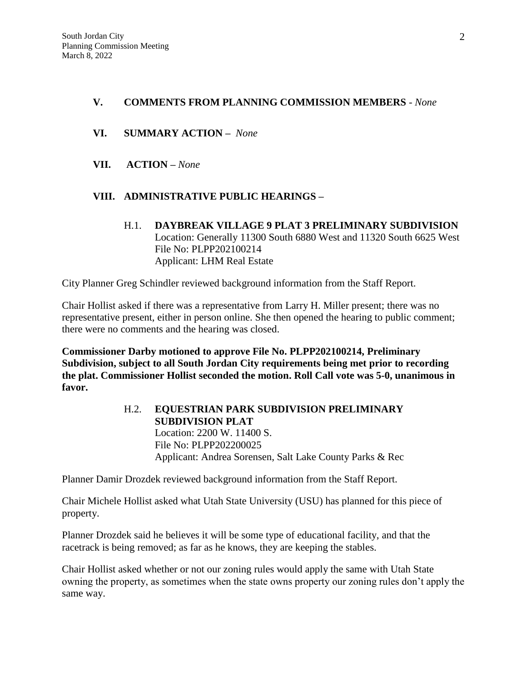#### **V. COMMENTS FROM PLANNING COMMISSION MEMBERS** *- None*

- **VI. SUMMARY ACTION –** *None*
- **VII. ACTION –** *None*

## **VIII. ADMINISTRATIVE PUBLIC HEARINGS –**

H.1. **DAYBREAK VILLAGE 9 PLAT 3 PRELIMINARY SUBDIVISION** Location: Generally 11300 South 6880 West and 11320 South 6625 West File No: PLPP202100214 Applicant: LHM Real Estate

City Planner Greg Schindler reviewed background information from the Staff Report.

Chair Hollist asked if there was a representative from Larry H. Miller present; there was no representative present, either in person online. She then opened the hearing to public comment; there were no comments and the hearing was closed.

**Commissioner Darby motioned to approve File No. PLPP202100214, Preliminary Subdivision, subject to all South Jordan City requirements being met prior to recording the plat. Commissioner Hollist seconded the motion. Roll Call vote was 5-0, unanimous in favor.** 

## H.2. **EQUESTRIAN PARK SUBDIVISION PRELIMINARY SUBDIVISION PLAT** Location: 2200 W. 11400 S. File No: PLPP202200025 Applicant: Andrea Sorensen, Salt Lake County Parks & Rec

Planner Damir Drozdek reviewed background information from the Staff Report.

Chair Michele Hollist asked what Utah State University (USU) has planned for this piece of property.

Planner Drozdek said he believes it will be some type of educational facility, and that the racetrack is being removed; as far as he knows, they are keeping the stables.

Chair Hollist asked whether or not our zoning rules would apply the same with Utah State owning the property, as sometimes when the state owns property our zoning rules don't apply the same way.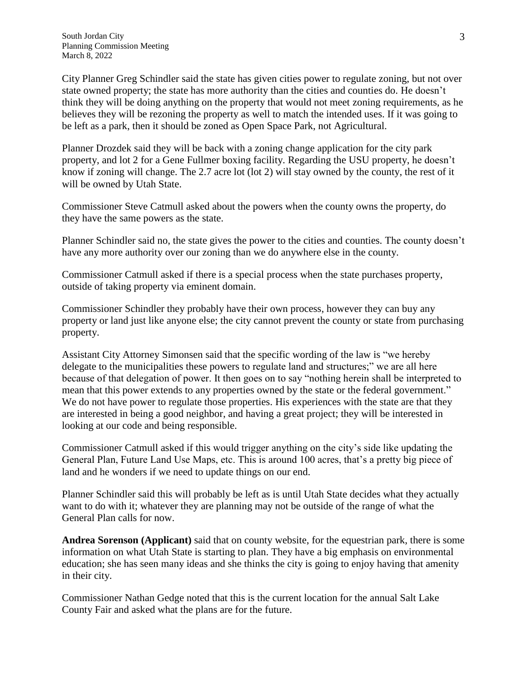City Planner Greg Schindler said the state has given cities power to regulate zoning, but not over state owned property; the state has more authority than the cities and counties do. He doesn't think they will be doing anything on the property that would not meet zoning requirements, as he believes they will be rezoning the property as well to match the intended uses. If it was going to be left as a park, then it should be zoned as Open Space Park, not Agricultural.

Planner Drozdek said they will be back with a zoning change application for the city park property, and lot 2 for a Gene Fullmer boxing facility. Regarding the USU property, he doesn't know if zoning will change. The 2.7 acre lot (lot 2) will stay owned by the county, the rest of it will be owned by Utah State.

Commissioner Steve Catmull asked about the powers when the county owns the property, do they have the same powers as the state.

Planner Schindler said no, the state gives the power to the cities and counties. The county doesn't have any more authority over our zoning than we do anywhere else in the county.

Commissioner Catmull asked if there is a special process when the state purchases property, outside of taking property via eminent domain.

Commissioner Schindler they probably have their own process, however they can buy any property or land just like anyone else; the city cannot prevent the county or state from purchasing property.

Assistant City Attorney Simonsen said that the specific wording of the law is "we hereby delegate to the municipalities these powers to regulate land and structures;" we are all here because of that delegation of power. It then goes on to say "nothing herein shall be interpreted to mean that this power extends to any properties owned by the state or the federal government." We do not have power to regulate those properties. His experiences with the state are that they are interested in being a good neighbor, and having a great project; they will be interested in looking at our code and being responsible.

Commissioner Catmull asked if this would trigger anything on the city's side like updating the General Plan, Future Land Use Maps, etc. This is around 100 acres, that's a pretty big piece of land and he wonders if we need to update things on our end.

Planner Schindler said this will probably be left as is until Utah State decides what they actually want to do with it; whatever they are planning may not be outside of the range of what the General Plan calls for now.

**Andrea Sorenson (Applicant)** said that on county website, for the equestrian park, there is some information on what Utah State is starting to plan. They have a big emphasis on environmental education; she has seen many ideas and she thinks the city is going to enjoy having that amenity in their city.

Commissioner Nathan Gedge noted that this is the current location for the annual Salt Lake County Fair and asked what the plans are for the future.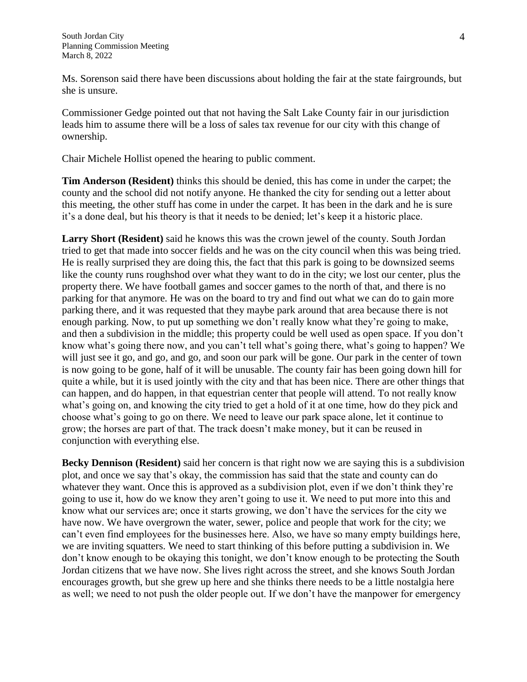Ms. Sorenson said there have been discussions about holding the fair at the state fairgrounds, but she is unsure.

Commissioner Gedge pointed out that not having the Salt Lake County fair in our jurisdiction leads him to assume there will be a loss of sales tax revenue for our city with this change of ownership.

Chair Michele Hollist opened the hearing to public comment.

**Tim Anderson (Resident)** thinks this should be denied, this has come in under the carpet; the county and the school did not notify anyone. He thanked the city for sending out a letter about this meeting, the other stuff has come in under the carpet. It has been in the dark and he is sure it's a done deal, but his theory is that it needs to be denied; let's keep it a historic place.

**Larry Short (Resident)** said he knows this was the crown jewel of the county. South Jordan tried to get that made into soccer fields and he was on the city council when this was being tried. He is really surprised they are doing this, the fact that this park is going to be downsized seems like the county runs roughshod over what they want to do in the city; we lost our center, plus the property there. We have football games and soccer games to the north of that, and there is no parking for that anymore. He was on the board to try and find out what we can do to gain more parking there, and it was requested that they maybe park around that area because there is not enough parking. Now, to put up something we don't really know what they're going to make, and then a subdivision in the middle; this property could be well used as open space. If you don't know what's going there now, and you can't tell what's going there, what's going to happen? We will just see it go, and go, and go, and soon our park will be gone. Our park in the center of town is now going to be gone, half of it will be unusable. The county fair has been going down hill for quite a while, but it is used jointly with the city and that has been nice. There are other things that can happen, and do happen, in that equestrian center that people will attend. To not really know what's going on, and knowing the city tried to get a hold of it at one time, how do they pick and choose what's going to go on there. We need to leave our park space alone, let it continue to grow; the horses are part of that. The track doesn't make money, but it can be reused in conjunction with everything else.

**Becky Dennison (Resident)** said her concern is that right now we are saying this is a subdivision plot, and once we say that's okay, the commission has said that the state and county can do whatever they want. Once this is approved as a subdivision plot, even if we don't think they're going to use it, how do we know they aren't going to use it. We need to put more into this and know what our services are; once it starts growing, we don't have the services for the city we have now. We have overgrown the water, sewer, police and people that work for the city; we can't even find employees for the businesses here. Also, we have so many empty buildings here, we are inviting squatters. We need to start thinking of this before putting a subdivision in. We don't know enough to be okaying this tonight, we don't know enough to be protecting the South Jordan citizens that we have now. She lives right across the street, and she knows South Jordan encourages growth, but she grew up here and she thinks there needs to be a little nostalgia here as well; we need to not push the older people out. If we don't have the manpower for emergency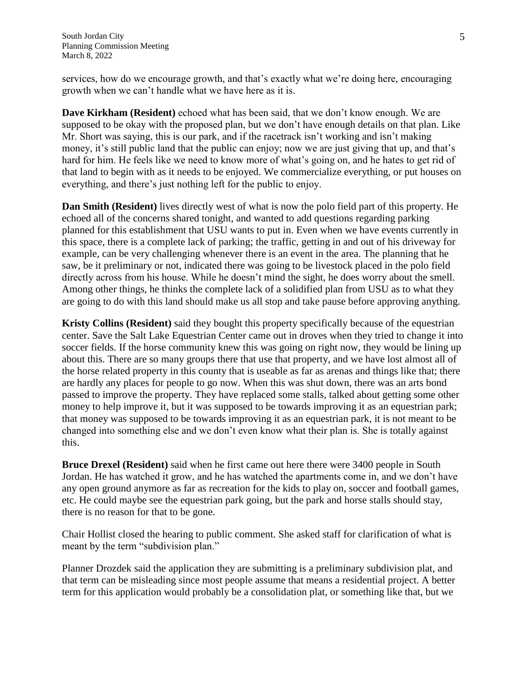services, how do we encourage growth, and that's exactly what we're doing here, encouraging growth when we can't handle what we have here as it is.

**Dave Kirkham (Resident)** echoed what has been said, that we don't know enough. We are supposed to be okay with the proposed plan, but we don't have enough details on that plan. Like Mr. Short was saying, this is our park, and if the racetrack isn't working and isn't making money, it's still public land that the public can enjoy; now we are just giving that up, and that's hard for him. He feels like we need to know more of what's going on, and he hates to get rid of that land to begin with as it needs to be enjoyed. We commercialize everything, or put houses on everything, and there's just nothing left for the public to enjoy.

**Dan Smith (Resident)** lives directly west of what is now the polo field part of this property. He echoed all of the concerns shared tonight, and wanted to add questions regarding parking planned for this establishment that USU wants to put in. Even when we have events currently in this space, there is a complete lack of parking; the traffic, getting in and out of his driveway for example, can be very challenging whenever there is an event in the area. The planning that he saw, be it preliminary or not, indicated there was going to be livestock placed in the polo field directly across from his house. While he doesn't mind the sight, he does worry about the smell. Among other things, he thinks the complete lack of a solidified plan from USU as to what they are going to do with this land should make us all stop and take pause before approving anything.

**Kristy Collins (Resident)** said they bought this property specifically because of the equestrian center. Save the Salt Lake Equestrian Center came out in droves when they tried to change it into soccer fields. If the horse community knew this was going on right now, they would be lining up about this. There are so many groups there that use that property, and we have lost almost all of the horse related property in this county that is useable as far as arenas and things like that; there are hardly any places for people to go now. When this was shut down, there was an arts bond passed to improve the property. They have replaced some stalls, talked about getting some other money to help improve it, but it was supposed to be towards improving it as an equestrian park; that money was supposed to be towards improving it as an equestrian park, it is not meant to be changed into something else and we don't even know what their plan is. She is totally against this.

**Bruce Drexel (Resident)** said when he first came out here there were 3400 people in South Jordan. He has watched it grow, and he has watched the apartments come in, and we don't have any open ground anymore as far as recreation for the kids to play on, soccer and football games, etc. He could maybe see the equestrian park going, but the park and horse stalls should stay, there is no reason for that to be gone.

Chair Hollist closed the hearing to public comment. She asked staff for clarification of what is meant by the term "subdivision plan."

Planner Drozdek said the application they are submitting is a preliminary subdivision plat, and that term can be misleading since most people assume that means a residential project. A better term for this application would probably be a consolidation plat, or something like that, but we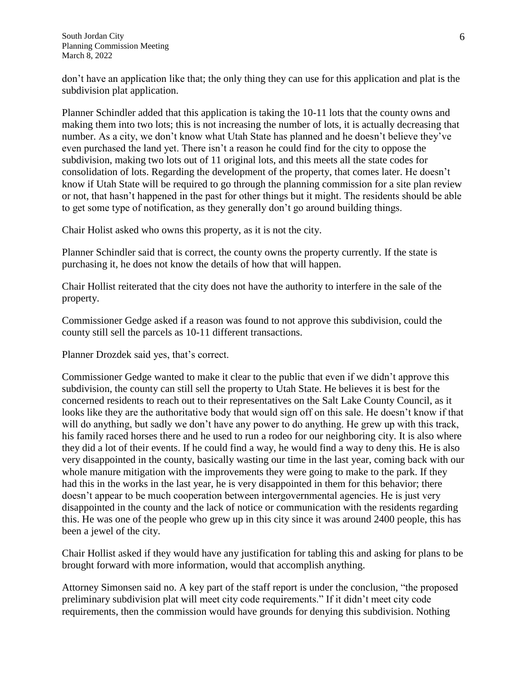don't have an application like that; the only thing they can use for this application and plat is the subdivision plat application.

Planner Schindler added that this application is taking the 10-11 lots that the county owns and making them into two lots; this is not increasing the number of lots, it is actually decreasing that number. As a city, we don't know what Utah State has planned and he doesn't believe they've even purchased the land yet. There isn't a reason he could find for the city to oppose the subdivision, making two lots out of 11 original lots, and this meets all the state codes for consolidation of lots. Regarding the development of the property, that comes later. He doesn't know if Utah State will be required to go through the planning commission for a site plan review or not, that hasn't happened in the past for other things but it might. The residents should be able to get some type of notification, as they generally don't go around building things.

Chair Holist asked who owns this property, as it is not the city.

Planner Schindler said that is correct, the county owns the property currently. If the state is purchasing it, he does not know the details of how that will happen.

Chair Hollist reiterated that the city does not have the authority to interfere in the sale of the property.

Commissioner Gedge asked if a reason was found to not approve this subdivision, could the county still sell the parcels as 10-11 different transactions.

Planner Drozdek said yes, that's correct.

Commissioner Gedge wanted to make it clear to the public that even if we didn't approve this subdivision, the county can still sell the property to Utah State. He believes it is best for the concerned residents to reach out to their representatives on the Salt Lake County Council, as it looks like they are the authoritative body that would sign off on this sale. He doesn't know if that will do anything, but sadly we don't have any power to do anything. He grew up with this track, his family raced horses there and he used to run a rodeo for our neighboring city. It is also where they did a lot of their events. If he could find a way, he would find a way to deny this. He is also very disappointed in the county, basically wasting our time in the last year, coming back with our whole manure mitigation with the improvements they were going to make to the park. If they had this in the works in the last year, he is very disappointed in them for this behavior; there doesn't appear to be much cooperation between intergovernmental agencies. He is just very disappointed in the county and the lack of notice or communication with the residents regarding this. He was one of the people who grew up in this city since it was around 2400 people, this has been a jewel of the city.

Chair Hollist asked if they would have any justification for tabling this and asking for plans to be brought forward with more information, would that accomplish anything.

Attorney Simonsen said no. A key part of the staff report is under the conclusion, "the proposed preliminary subdivision plat will meet city code requirements." If it didn't meet city code requirements, then the commission would have grounds for denying this subdivision. Nothing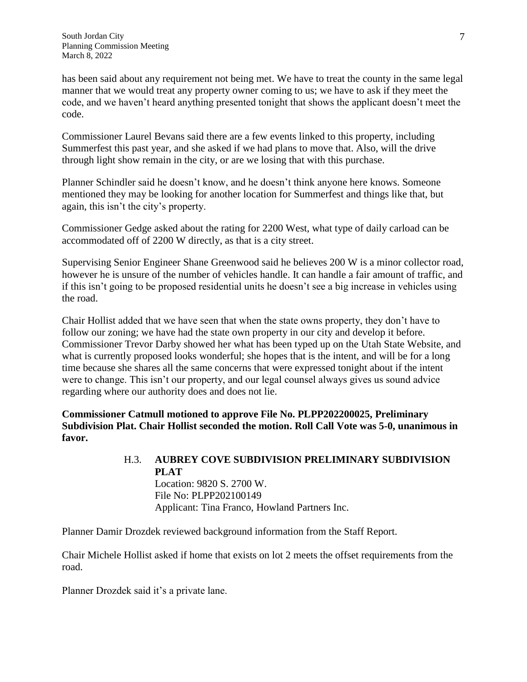has been said about any requirement not being met. We have to treat the county in the same legal manner that we would treat any property owner coming to us; we have to ask if they meet the code, and we haven't heard anything presented tonight that shows the applicant doesn't meet the code.

Commissioner Laurel Bevans said there are a few events linked to this property, including Summerfest this past year, and she asked if we had plans to move that. Also, will the drive through light show remain in the city, or are we losing that with this purchase.

Planner Schindler said he doesn't know, and he doesn't think anyone here knows. Someone mentioned they may be looking for another location for Summerfest and things like that, but again, this isn't the city's property.

Commissioner Gedge asked about the rating for 2200 West, what type of daily carload can be accommodated off of 2200 W directly, as that is a city street.

Supervising Senior Engineer Shane Greenwood said he believes 200 W is a minor collector road, however he is unsure of the number of vehicles handle. It can handle a fair amount of traffic, and if this isn't going to be proposed residential units he doesn't see a big increase in vehicles using the road.

Chair Hollist added that we have seen that when the state owns property, they don't have to follow our zoning; we have had the state own property in our city and develop it before. Commissioner Trevor Darby showed her what has been typed up on the Utah State Website, and what is currently proposed looks wonderful; she hopes that is the intent, and will be for a long time because she shares all the same concerns that were expressed tonight about if the intent were to change. This isn't our property, and our legal counsel always gives us sound advice regarding where our authority does and does not lie.

**Commissioner Catmull motioned to approve File No. PLPP202200025, Preliminary Subdivision Plat. Chair Hollist seconded the motion. Roll Call Vote was 5-0, unanimous in favor.**

# H.3. **AUBREY COVE SUBDIVISION PRELIMINARY SUBDIVISION PLAT**

Location: 9820 S. 2700 W. File No: PLPP202100149 Applicant: Tina Franco, Howland Partners Inc.

Planner Damir Drozdek reviewed background information from the Staff Report.

Chair Michele Hollist asked if home that exists on lot 2 meets the offset requirements from the road.

Planner Drozdek said it's a private lane.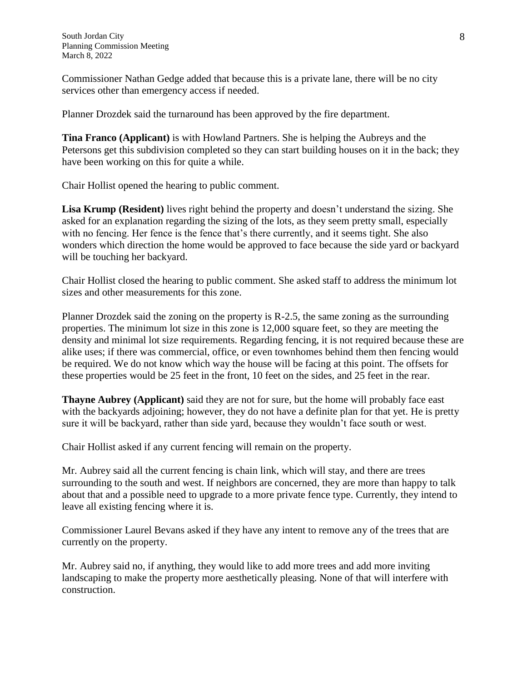Commissioner Nathan Gedge added that because this is a private lane, there will be no city services other than emergency access if needed.

Planner Drozdek said the turnaround has been approved by the fire department.

**Tina Franco (Applicant)** is with Howland Partners. She is helping the Aubreys and the Petersons get this subdivision completed so they can start building houses on it in the back; they have been working on this for quite a while.

Chair Hollist opened the hearing to public comment.

**Lisa Krump (Resident)** lives right behind the property and doesn't understand the sizing. She asked for an explanation regarding the sizing of the lots, as they seem pretty small, especially with no fencing. Her fence is the fence that's there currently, and it seems tight. She also wonders which direction the home would be approved to face because the side yard or backyard will be touching her backyard.

Chair Hollist closed the hearing to public comment. She asked staff to address the minimum lot sizes and other measurements for this zone.

Planner Drozdek said the zoning on the property is R-2.5, the same zoning as the surrounding properties. The minimum lot size in this zone is 12,000 square feet, so they are meeting the density and minimal lot size requirements. Regarding fencing, it is not required because these are alike uses; if there was commercial, office, or even townhomes behind them then fencing would be required. We do not know which way the house will be facing at this point. The offsets for these properties would be 25 feet in the front, 10 feet on the sides, and 25 feet in the rear.

**Thayne Aubrey (Applicant)** said they are not for sure, but the home will probably face east with the backyards adjoining; however, they do not have a definite plan for that yet. He is pretty sure it will be backyard, rather than side yard, because they wouldn't face south or west.

Chair Hollist asked if any current fencing will remain on the property.

Mr. Aubrey said all the current fencing is chain link, which will stay, and there are trees surrounding to the south and west. If neighbors are concerned, they are more than happy to talk about that and a possible need to upgrade to a more private fence type. Currently, they intend to leave all existing fencing where it is.

Commissioner Laurel Bevans asked if they have any intent to remove any of the trees that are currently on the property.

Mr. Aubrey said no, if anything, they would like to add more trees and add more inviting landscaping to make the property more aesthetically pleasing. None of that will interfere with construction.